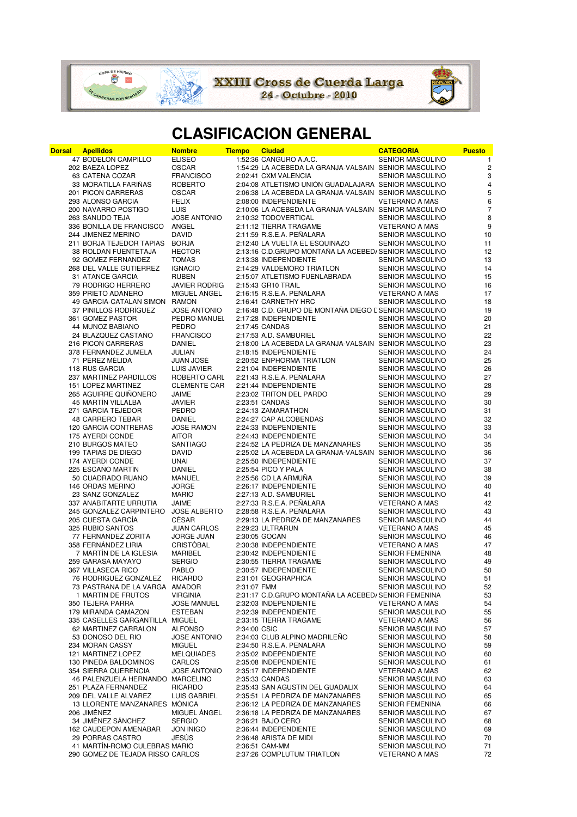

**XXIII Cross de Cuerda Larga**<br>24 - Octubre - 2010



## **CLASIFICACION GENERAL**

| Dorsal | <b>Apellidos</b>                 | <b>Nombre</b>        | <b>Tiempo</b> | <b>Ciudad</b>                                          | <b>CATEGORIA</b>        | <b>Puesto</b>    |
|--------|----------------------------------|----------------------|---------------|--------------------------------------------------------|-------------------------|------------------|
|        | 47 BODELÓN CAMPILLO              | <b>ELISEO</b>        |               | 1:52:36 CANGURO A.A.C.                                 | <b>SENIOR MASCULINO</b> | $\mathbf{1}$     |
|        | 202 BAEZA LOPEZ                  | <b>OSCAR</b>         |               | 1:54:29 LA ACEBEDA LA GRANJA-VALSAIN SENIOR MASCULINO  |                         | $\sqrt{2}$       |
|        | 63 CATENA COZAR                  | <b>FRANCISCO</b>     |               | 2:02:41 CXM VALENCIA                                   | SENIOR MASCULINO        | $\sqrt{3}$       |
|        | 33 MORATILLA FARIÑAS             | <b>ROBERTO</b>       |               | 2:04:08 ATLETISMO UNIÓN GUADALAJARA SENIOR MASCULINO   |                         | $\pmb{4}$        |
|        | 201 PICON CARRERAS               | <b>OSCAR</b>         |               | 2:06:38 LA ACEBEDA LA GRANJA-VALSAIN SENIOR MASCULINO  |                         | 5                |
|        | 293 ALONSO GARCIA                | <b>FELIX</b>         |               | 2:08:00 INDEPENDIENTE                                  | <b>VETERANO A MAS</b>   | $\boldsymbol{6}$ |
|        | 200 NAVARRO POSTIGO              | LUIS                 |               | 2:10:06 LA ACEBEDA LA GRANJA-VALSAIN SENIOR MASCULINO  |                         | $\overline{7}$   |
|        | 263 SAÑUDO TEJA                  | <b>JOSÉ ANTONIO</b>  |               | 2:10:32 TODOVERTICAL                                   | <b>SENIOR MASCULINO</b> | 8                |
|        | 336 BONILLA DE FRANCISCO         | ANGEL                |               | 2:11:12 TIERRA TRAGAME                                 | <b>VETERANO A MAS</b>   | 9                |
|        | 244 JIMENEZ MERINO               | DAVID                |               | 2:11:59 R.S.E.A. PEÑALARA                              | <b>SENIOR MASCULINO</b> | 10               |
|        |                                  |                      |               | 2:12:40 LA VUELTA EL ESQUINAZO                         |                         |                  |
|        | 211 BORJA TEJEDOR TAPIAS BORJA   |                      |               |                                                        | <b>SENIOR MASCULINO</b> | 11               |
|        | 38 ROLDAN FUENTETAJA             | <b>HECTOR</b>        |               | 2:13:16 C.D.GRUPO MONTAÑA LA ACEBED/SENIOR MASCULINO   |                         | 12               |
|        | 92 GÓMEZ FERNÁNDEZ               | <b>TOMÁS</b>         |               | 2:13:38 INDEPENDIENTE                                  | SENIOR MASCULINO        | 13               |
|        | 268 DEL VALLE GUTIERREZ          | <b>IGNACIO</b>       |               | 2:14:29 VALDEMORO TRIATLON                             | <b>SENIOR MASCULINO</b> | 14               |
|        | 31 ATANCE GARCIA                 | <b>RUBEN</b>         |               | 2:15:07 ATLETISMO FUENLABRADA                          | <b>SENIOR MASCULINO</b> | 15               |
|        | 79 RODRIGO HERRERO               | <b>JAVIER RODRIG</b> |               | 2:15:43 GR10 TRAIL                                     | <b>SENIOR MASCULINO</b> | 16               |
|        | 359 PRIETO ADANERO               | MIGUEL ANGEL         |               | 2:16:15 R.S.E.A. PEÑALARA                              | <b>VETERANO A MAS</b>   | 17               |
|        | 49 GARCIA-CATALAN SIMON RAMON    |                      |               | 2:16:41 CARNETHY HRC                                   | SENIOR MASCULINO        | 18               |
|        | 37 PINILLOS RODRIGUEZ            | <b>JOSE ANTONIO</b>  |               | 2:16:48 C.D. GRUPO DE MONTAÑA DIEGO E SENIOR MASCULINO |                         | 19               |
|        | 361 GOMEZ PASTOR                 | PEDRO MANUEL         |               | 2:17:28 INDEPENDIENTE                                  | SENIOR MASCULINO        | 20               |
|        | 44 MUÑOZ BABIANO                 | PEDRO                |               | 2:17:45 CANDAS                                         | <b>SENIOR MASCULINO</b> | 21               |
|        | 24 BLAZQUEZ CASTAÑO              | <b>FRANCISCO</b>     |               | 2:17:53 A.D. SAMBURIEL                                 | SENIOR MASCULINO        | 22               |
|        | 216 PICON CARRERAS               | <b>DANIEL</b>        |               | 2:18:00 LA ACEBEDA LA GRANJA-VALSAIN SENIOR MASCULINO  |                         | 23               |
|        | 378 FERNANDEZ JUMELA             | JULIAN               |               | 2:18:15 INDEPENDIENTE                                  | SENIOR MASCULINO        | 24               |
|        | 71 PÉREZ MÉLIDA                  | JUAN JOSÉ            |               | 2:20:52 ENPHORMA TRIATLON                              | <b>SENIOR MASCULINO</b> | 25               |
|        |                                  |                      |               | 2:21:04 INDEPENDIENTE                                  |                         | 26               |
|        | 118 RUS GARCIA                   | LUIS JAVIER          |               |                                                        | <b>SENIOR MASCULINO</b> |                  |
|        | 237 MARTINEZ PARDILLOS           | ROBERTO CARL         |               | 2:21:43 R.S.E.A. PENALARA                              | <b>SENIOR MASCULINO</b> | 27               |
|        | 151 LOPEZ MARTINEZ               | <b>CLEMENTE CAR</b>  |               | 2:21:44 INDEPENDIENTE                                  | <b>SENIOR MASCULINO</b> | 28               |
|        | 265 AGUIRRE QUIÑONERO            | JAIME                |               | 2:23:02 TRITON DEL PARDO                               | <b>SENIOR MASCULINO</b> | 29               |
|        | 45 MARTIN VILLALBA               | <b>JAVIER</b>        |               | 2:23:51 CANDAS                                         | <b>SENIOR MASCULINO</b> | 30               |
|        | 271 GARCÍA TEJEDOR               | <b>PEDRO</b>         |               | 2:24:13 ZAMARATHON                                     | <b>SENIOR MASCULINO</b> | 31               |
|        | 48 CARRERO TEBAR                 | DANIEL               |               | 2:24:27 CAP ALCOBENDAS                                 | <b>SENIOR MASCULINO</b> | 32               |
|        | 120 GARCIA CONTRERAS             | <b>JOSE RAMON</b>    |               | 2:24:33 INDEPENDIENTE                                  | <b>SENIOR MASCULINO</b> | 33               |
|        | 175 AYERDI CONDE                 | <b>AITOR</b>         |               | 2:24:43 INDEPENDIENTE                                  | <b>SENIOR MASCULINO</b> | 34               |
|        | 210 BURGOS MATEO                 | <b>SANTIAGO</b>      |               | 2:24:52 LA PEDRIZA DE MANZANARES                       | SENIOR MASCULINO        | 35               |
|        | 199 TAPIAS DE DIEGO              | DAVID                |               | 2:25:02 LA ACEBEDA LA GRANJA-VALSAIN SENIOR MASCULINO  |                         | 36               |
|        | 174 AYERDI CONDE                 | UNAI                 |               | 2:25:50 INDEPENDIENTE                                  | <b>SENIOR MASCULINO</b> | 37               |
|        | 225 ESCAÑO MARTÍN                | DANIEL               |               | 2:25:54 PICO Y PALA                                    | <b>SENIOR MASCULINO</b> | 38               |
|        | 50 CUADRADO RUANO                | MANUEL               |               | 2:25:56 CD LA ARMUÑA                                   | <b>SENIOR MASCULINO</b> | 39               |
|        | 146 ORDAS MERINO                 |                      |               | 2:26:17 INDEPENDIENTE                                  |                         | 40               |
|        |                                  | <b>JORGE</b>         |               |                                                        | <b>SENIOR MASCULINO</b> |                  |
|        | 23 SANZ GONZALEZ                 | <b>MARIO</b>         |               | 2:27:13 A.D. SAMBURIEL                                 | <b>SENIOR MASCULINO</b> | 41               |
|        | 337 ANABITARTE URRUTIA           | JAIME                |               | 2:27:33 R.S.E.A. PEÑALARA                              | <b>VETERANO A MAS</b>   | 42               |
|        | 245 GONZALEZ CARPINTERO          | <b>JOSE ALBERTO</b>  |               | 2:28:58 R.S.E.A. PEÑALARA                              | <b>SENIOR MASCULINO</b> | 43               |
|        | 205 CUESTA GARCÍA                | CÉSAR                |               | 2:29:13 LA PEDRIZA DE MANZANARES                       | <b>SENIOR MASCULINO</b> | 44               |
|        | 325 RUBIO SANTOS                 | <b>JUAN CARLOS</b>   |               | 2:29:23 ULTRARUN                                       | <b>VETERANO A MAS</b>   | 45               |
|        | 77 FERNÁNDEZ ZORITA              | JORGE JUAN           |               | 2:30:05 GOCAN                                          | <b>SENIOR MASCULINO</b> | 46               |
|        | 358 FERNANDEZ LIRIA              | CRISTÓBAL            |               | 2:30:38 INDEPENDIENTE                                  | <b>VETERANO A MAS</b>   | 47               |
|        | 7 MARTÍN DE LA IGLESIA           | <b>MARIBEL</b>       |               | 2:30:42 INDEPENDIENTE                                  | <b>SENIOR FEMENINA</b>  | 48               |
|        | 259 GARASA MAYAYO                | <b>SERGIO</b>        |               | 2:30:55 TIERRA TRAGAME                                 | <b>SENIOR MASCULINO</b> | 49               |
|        | 367 VILLASECA RICO               | PABLO                |               | 2:30:57 INDEPENDIENTE                                  | SENIOR MASCULINO        | 50               |
|        | 76 RODRÍGUEZ GONZÁLEZ            | <b>RICARDO</b>       |               | 2:31:01 GEOGRAPHICA                                    | SENIOR MASCULINO        | 51               |
|        | 73 PASTRANA DE LA VARGA AMADOR   |                      | 2:31:07 FMM   |                                                        | <b>SENIOR MASCULINO</b> | 52               |
|        | 1 MARTIN DE FRUTOS               | <b>VIRGINIA</b>      |               | 2:31:17 C.D.GRUPO MONTAÑA LA ACEBED/SENIOR FEMENINA    |                         | 53               |
|        | 350 TEJERA PARRA                 | <b>JOSE MANUEL</b>   |               | 2:32:03 INDEPENDIENTE                                  | <b>VETERANO A MAS</b>   | 54               |
|        | 179 MIRANDA CAMAZON              | <b>ESTEBAN</b>       |               | 2:32:39 INDEPENDIENTE                                  | <b>SENIOR MASCULINO</b> | 55               |
|        | 335 CASELLES GARGANTILLA MIGUEL  |                      |               | 2:33:15 TIERRA TRAGAME                                 | <b>VETERANO A MAS</b>   | 56               |
|        |                                  |                      |               |                                                        | <b>SENIOR MASCULINO</b> |                  |
|        | 62 MARTINEZ CARRALON             | <b>ALFONSO</b>       | 2:34:00 CSIC  |                                                        |                         | 57               |
|        | 53 DONOSO DEL RIO                | <b>JOSE ANTONIO</b>  |               | 2:34:03 CLUB ALPINO MADRILEÑO                          | SENIOR MASCULINO        | 58               |
|        | 234 MORAN CASSY                  | <b>MIGUEL</b>        |               | 2:34:50 R.S.E.A. PEÑALARA                              | <b>SENIOR MASCULINO</b> | 59               |
|        | 121 MARTINEZ LOPEZ               | <b>MELQUIADES</b>    |               | 2:35:02 INDEPENDIENTE                                  | <b>SENIOR MASCULINO</b> | 60               |
|        | 130 PINEDA BALDOMINOS            | CARLOS               |               | 2:35:08 INDEPENDIENTE                                  | SENIOR MASCULINO        | 61               |
|        | 354 SIERRA QUERENCIA             | <b>JOSE ANTONIO</b>  |               | 2:35:17 INDEPENDIENTE                                  | <b>VETERANO A MAS</b>   | 62               |
|        | 46 PALENZUELA HERNANDO MARCELINO |                      |               | 2:35:33 CANDAS                                         | <b>SENIOR MASCULINO</b> | 63               |
|        | 251 PLAZA FERNANDEZ              | <b>RICARDO</b>       |               | 2:35:43 SAN AGUSTIN DEL GUADALIX                       | <b>SENIOR MASCULINO</b> | 64               |
|        | 209 DEL VALLE ALVAREZ            | <b>LUIS GABRIEL</b>  |               | 2:35:51 LA PEDRIZA DE MANZANARES                       | <b>SENIOR MASCULINO</b> | 65               |
|        | 13 LLORENTE MANZANARES MONICA    |                      |               | 2:36:12 LA PEDRIZA DE MANZANARES                       | <b>SENIOR FEMENINA</b>  | 66               |
|        | 206 JIMENEZ                      | MIGUEL ÁNGEL         |               | 2:36:18 LA PEDRIZA DE MANZANARES                       | <b>SENIOR MASCULINO</b> | 67               |
|        | 34 JIMÉNEZ SÁNCHEZ               | <b>SERGIO</b>        |               | 2:36:21 BAJO CERO                                      | <b>SENIOR MASCULINO</b> | 68               |
|        | 162 CAUDEPON AMENABAR            | <b>JON INIGO</b>     |               | 2:36:44 INDEPENDIENTE                                  | <b>SENIOR MASCULINO</b> | 69               |
|        | 29 PORRAS CASTRO                 | <b>JESUS</b>         |               | 2:36:48 ARISTA DE MIDI                                 | SENIOR MASCULINO        | 70               |
|        | 41 MARTIN-ROMO CULEBRAS MARIO    |                      |               | 2:36:51 CAM-MM                                         | <b>SENIOR MASCULINO</b> | 71               |
|        |                                  |                      |               |                                                        |                         |                  |
|        | 290 GOMEZ DE TEJADA RISSO CARLOS |                      |               | 2:37:26 COMPLUTUM TRIATLON                             | <b>VETERANO A MAS</b>   | 72               |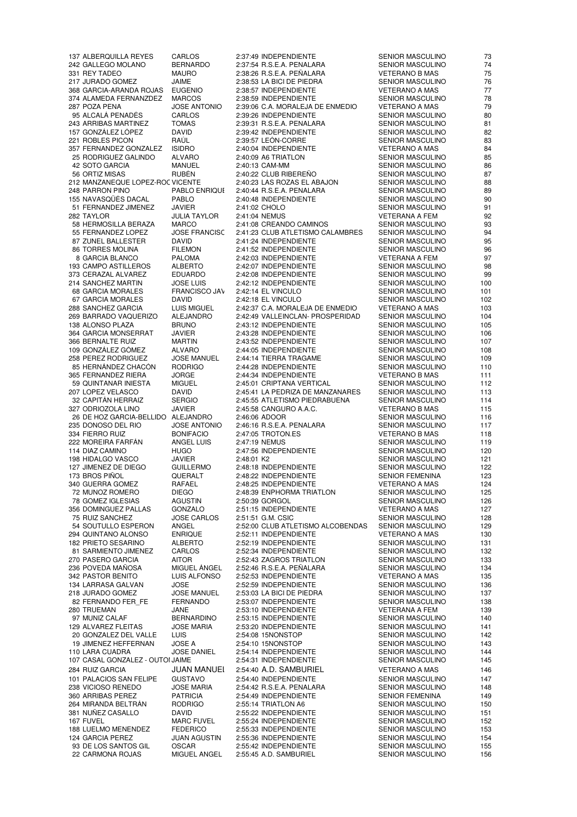331 REY TADEO MAURO 2:38:26 R.S.E.A. PEÑALARA 368 GARCIA-ARANDA ROJAS 20 GONZALEZ DEL VALLE LUIS 2:54:08 15NONSTOP<br>19 JIMENEZ HEFFERNAN JOSE A 2:54:10 15NONSTOP

 GALLEGO MOLANO BERNARDO 2:37:54 R.S.E.A. PEÑALARA SENIOR MASCULINO 74 JURADO GOMEZ JAIME 2:38:53 LA BICI DE PIEDRA SENIOR MASCULINO 76 374 ALAMEDA FERNANZDEZ MARCOS 2:38:59 INDEPENDIENTE SENIOR MASCULINO 78<br>287 POZA PEÑA 2005E ANTONIO 2:39:06 C.A. MORALEJA DE ENMEDIO VETERANO A MAS 79 287 POZA PEÑA JOSE ANTONIO 2:39:06 C.A. MORALEJA DE ENMEDIO VETERANO A MAS 95 ALCALÁ PENADÉS CARLOS 2:39:26 INDEPENDIENTE SENIOR MASCULINO 80<br>243 ARRIBAS MARTINEZ TOMAS 2:39:31 R.S.E.A. PEÑALARA SENIOR MASCULINO 81 2:39:31 R.S.E.A. PEÑALARA SENIOR MASCULINO 81 GONZÁLEZ LÓPEZ DAVID 2:39:42 INDEPENDIENTE SENIOR MASCULINO 82 ROBLES PICON RAÚL 2:39:57 LEÓN-CORRE SENIOR MASCULINO 83 FERNANDEZ GONZALEZ ISIDRO 2:40:04 INDEPENDIENTE VETERANO A MAS 84 RODRIGUEZ GALINDO ALVARO 2:40:09 A6 TRIATLON SENIOR MASCULINO 85 ORTIZ MISAS RUBÉN 2:40:22 CLUB RIBEREÑO SENIOR MASCULINO 87 212 MANZANEQUE LOPEZ-ROC VICENTE 2:40:23 LAS ROZAS EL ABAJON SENIOR MASCULINO 88 PARRÓN PINO PABLO ENRIQUE 2:40:44 R.S.E.A. PEÑALARA SENIOR MASCULINO 89 2:40:48 INDEPENDIENTE FERNANDEZ JIMENEZ JAVIER 2:41:02 CHOLO SENIOR MASCULINO 91 TAYLOR JULIA TAYLOR 2:41:04 NEMUS VETERANA A FEM 92 58 HERMOSILLA BERAZA MARCO 2:41:08 CREANDO CAMINOS SENIOR MASCULINO 93<br>55 FERNANDEZI OPEZ JOSE ERANCISC 2:41:23 CLUB ATI ETISMO CALAMBRES SENIOR MASCULINO 94 FERNANDEZ LOPEZ JOSE FRANCISCO 2:41:23 CLUB ATLETISMO CALAMBRES SENIOR MASCULINO 94 ZUNEL BALLESTER DAVID 2:41:24 INDEPENDIENTE SENIOR MASCULINO 95 TORRES MOLINA FILEMON 2:41:52 INDEPENDIENTE SENIOR MASCULINO 96 GARCIA BLANCO PALOMA 2:42:03 INDEPENDIENTE VETERANA A FEM 97 CAMPO ASTILLEROS ALBERTO 2:42:07 INDEPENDIENTE SENIOR MASCULINO 98 CERAZAL ALVAREZ EDUARDO 2:42:08 INDEPENDIENTE SENIOR MASCULINO 99  $\begin{array}{ll}\n\text{JOSE LUIS} & 2:42:12 \text{ INDEPENDIENTE} & \text{SENIOR MASCULINO} \\
\text{FRANCISCO JAV} & 2:42:14 \text{ EL VINCULO} & & \text{SENIOR MASCULINO}\n\end{array}$ 68 GARCIA MORALES FRANCISCO JAV 2:42:14 EL VINCULO SENIOR MASCULINO 101 GARCIA MORALES DAVID 2:42:18 EL VINCULO SENIOR MASCULINO 102 288 SANCHEZ GARCIA LUIS MIGUEL 2:42:37 C.A. MORALEJA DE ENMEDIO VETERANO A MAS 103<br>269 BARRADO VAQUERIZO ALEJANDRO 2:42:49 VALLEINCLÁN- PROSPERIDAD SENIOR MASCULINO 104 BARRADO VAQUERIZO ALEJANDRO 2:42:49 VALLEINCLÁN- PROSPERIDAD SENIOR MASCULINO 104 138 ALONSO PLAZA BRUNO 2:43:12 INDEPENDIENTE SENIOR MASCULINO 105 GARCIA MONSERRAT JAVIER 2:43:28 INDEPENDIENTE SENIOR MASCULINO 106 BERNALTE RUIZ MARTIN 2:43:52 INDEPENDIENTE SENIOR MASCULINO 107 GONZÁLEZ GÓMEZ ALVARO 2:44:05 INDEPENDIENTE SENIOR MASCULINO 108 PEREZ RODRIGUEZ JOSE MANUEL 2:44:14 TIERRA TRAGAME SENIOR MASCULINO 109 HERNÁNDEZ CHACÓN RODRIGO 2:44:28 INDEPENDIENTE SENIOR MASCULINO 110 2:44:34 INDEPENDIENTE VETERANO B MAS 111 59 QUINTANAR INIESTA MIGUEL 2:45:01 CRIPTANA VERTICAL SENIOR MASCULINO 112<br>207 LOPEZ VELASCO DAVID 2:45:41 LA PEDRIZA DE MANZANARES SENIOR MASCULINO 113 2:45:41 LA PEDRIZA DE MANZANARES SENIOR MASCULINO 113 CAPITÁN HERRAIZ SERGIO 2:45:55 ATLETISMO PIEDRABUENA SENIOR MASCULINO 114 2:45:58 CANGURO A.A.C. DE HOZ GARCIA-BELLIDO ALEJANDRO 2:46:06 ADOOR SENIOR MASCULINO 116 DONOSO DEL RIO JOSE ANTONIO 2:46:16 R.S.E.A. PEÑALARA SENIOR MASCULINO 117 FIERRO RUIZ BONIFACIO 2:47:05 TROTON.ES VETERANO B MAS 118 MOREIRA FARFÁN ANGEL LUIS 2:47:19 NEMUS SENIOR MASCULINO 119 DIAZ CAMINO HUGO 2:47:56 INDEPENDIENTE SENIOR MASCULINO 120 HIDALGO VASCO JAVIER 2:48:01 K2 SENIOR MASCULINO 121 127 JIMENEZ DE DIEGO GUILLERMO 2:48:18 INDEPENDIENTE SENIOR MASCULINO 122 BROS PIÑOL QUERALT 2:48:22 INDEPENDIENTE SENIOR FEMENINA 123 340 GUERRA GOMEZ RAFAEL 2:48:25 INDEPENDIENTE VETERANO A MAS 124 MUÑOZ ROMERO DIEGO 2:48:39 ENPHORMA TRIATLON SENIOR MASCULINO 125 GOMEZ IGLESIAS AGUSTIN 2:50:39 GORGOL SENIOR MASCULINO 126 DOMINGUEZ PALLAS GONZALO 2:51:15 INDEPENDIENTE VETERANO A MAS 127 54 SOUTULLO ESPERON ANGEL 2:52:00 CLUB ATLETISMO ALCOBENDAS SENIOR MASCULINO 129<br>294 QUINTANO ALONSO ENRIQUE 2:52:11 INDEPENDIENTE VETERANO A MAS 130 2:52:11 INDEPENDIENTE PRIETO SESARINO ALBERTO 2:52:19 INDEPENDIENTE SENIOR MASCULINO 131 SARMIENTO JIMÉNEZ CARLOS 2:52:34 INDEPENDIENTE SENIOR MASCULINO 132 PASERO GARCIA AITOR 2:52:43 ZAGROS TRIATLON SENIOR MASCULINO 133 236 POVEDA MAÑOSA MIGUEL ÁNGEL 2:52:46 R.S.E.A. PEÑALARA SENIOR MASCULINO 134 PASTOR BENITO LUIS ALFONSO 2:52:53 INDEPENDIENTE VETERANO A MAS 135 LARRASA GALVAN JOSE 2:52:59 INDEPENDIENTE SENIOR MASCULINO 136 JURADO GOMEZ JOSE MANUEL 2:53:03 LA BICI DE PIEDRA SENIOR MASCULINO 137 2:53:07 INDEPENDIENTE SENIOR MASCULINO 138 TRUEMAN JANE 2:53:10 INDEPENDIENTE VETERANA A FEM 139 MUÑIZ CALAF BERNARDINO 2:53:15 INDEPENDIENTE SENIOR MASCULINO 140 ALVAREZ FLEITAS JOSE MARIA 2:53:20 INDEPENDIENTE SENIOR MASCULINO 141 JIMENEZ HEFFERNAN JOSE A 2:54:10 15NONSTOP SENIOR MASCULINO 143 2:54:14 INDEPENDIENTE SENIOR MASCULINO 144 CASAL GONZÁLEZ - OUTÓNJAIME 2:54:31 INDEPENDIENTE SENIOR MASCULINO 145 284 RUIZ GARCIA JUAN MANUEL 2:54:40 A.D. SAMBURIEL VETERANO A MAS 146 101 PALACIOS SAN FELIPE GUSTAVO 2:54:40 INDEPENDIENTE SENIOR MASCULINO 147<br>238 VICIOSO RENEDO JOSE MARIA 2:54:42 R.S.E.A. PEÑALARA SENIOR MASCULINO 148 VICIOSO RENEDO JOSE MARIA 2:54:42 R.S.E.A. PEÑALARA SENIOR MASCULINO 148 ARRIBAS PEREZ PATRICIA 2:54:49 INDEPENDIENTE SENIOR FEMENINA 149 264 MIRANDA BELTRÁN RODRIGO 2:55:14 TRIATLON A6 SENIOR MASCULINO 150 NUÑEZ CASALLO DAVID 2:55:22 INDEPENDIENTE SENIOR MASCULINO 151 167 FUVEL **MARC FUVEL** 2:55:24 INDEPENDIENTE SENIOR MASCULINO 152 LUELMO MENENDEZ FEDERICO 2:55:33 INDEPENDIENTE SENIOR MASCULINO 153 GARCIA PEREZ JUAN AGUSTIN 2:55:36 INDEPENDIENTE SENIOR MASCULINO 154 2:55:42 INDEPENDIENTE 22 CARMONA ROJAS MIGUEL ANGEL 2:55:45 A.D. SAMBURIEL SENIOR MASCULINO 156

 ALBERQUILLA REYES CARLOS 2:37:49 INDEPENDIENTE SENIOR MASCULINO 73 42 SENIOR MASCULINO 86<br>12 SENIOR MASCULINO 87 SENIOR MASCULINO<br>SENIOR MASCULINO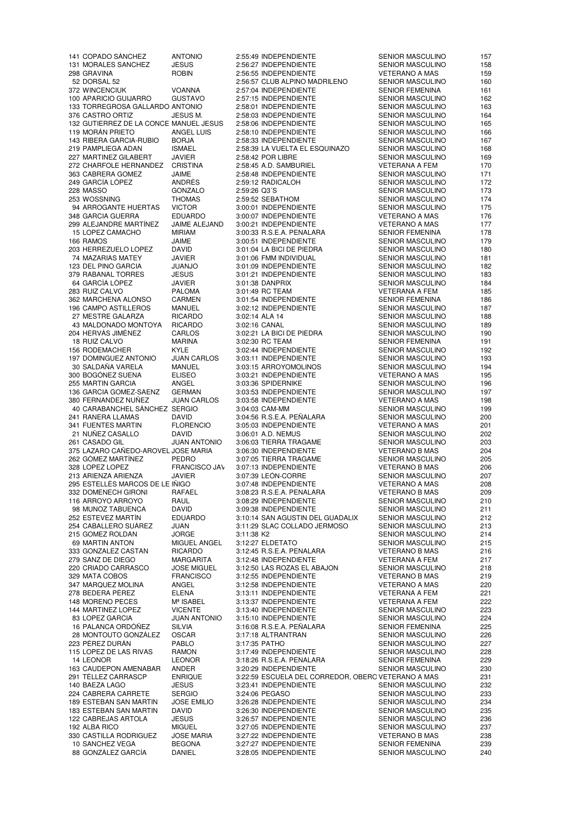MORALES SANCHEZ JESUS 2:56:27 INDEPENDIENTE SENIOR MASCULINO 158 DORSAL 52 2:56:57 CLUB ALPINO MADRILEÑO SENIOR MASCULINO 160 APARICIO GUIJARRO GUSTAVO 2:57:15 INDEPENDIENTE SENIOR MASCULINO 162 133 TORREGROSA GALLARDO ANTONIO 2:58:01 INDEPENDIENTE SENIOR MASCULINO<br>1976 CASTRO ORTIZ JESUS M. 2:58:03 INDEPENDIENTE SENIOR MASCULINO CASTRO ORTIZ JESUS M. 2:58:03 INDEPENDIENTE SENIOR MASCULINO 164 132 GUTIÉRREZ DE LA CONCE MANUEL JESÚS MORÁN PRIETO ANGEL LUIS 2:58:10 INDEPENDIENTE SENIOR MASCULINO 166 143 RIBERA GARCIA-RUBIO BORJA 2:58:33 INDEPENDIENTE SENIOR MASCULINO 167 PAMPLIEGA ADAN ISMAEL 2:58:39 LA VUELTA EL ESQUINAZO SENIOR MASCULINO 168 MARTINEZ GILABERT JAVIER 2:58:42 POR LIBRE SENIOR MASCULINO 169 CHARFOLE HERNANDEZ CRISTINA 2:58:45 A.D. SAMBURIEL VETERANA A FEM 170 GARCÍA LÓPEZ ANDRÉS 2:59:12 RADICALOH SENIOR MASCULINO 172 MASSÓ GONZALO 2:59:26 Q3´S SENIOR MASCULINO 173 94 ARROGANTE HUERTAS VICTOR 3:00:01 INDEPENDIENTE SENIOR MASCULINO 175<br>318 GARCIA GUERRA EDUARDO 3:00:07 INDEPENDIENTE VETERANO A MAS 176 299 ALEJANDRE MARTÍNEZ JAIME ALEJAND 3:00:21 INDEPENDIENTE VETERANO A MAS 177 LOPEZ CAMACHO MIRIAM 3:00:33 R.S.E.A. PEÑALARA SENIOR FEMENINA 178 RAMOS JAIME 3:00:51 INDEPENDIENTE SENIOR MASCULINO 179 HERREZUELO LOPEZ DAVID 3:01:04 LA BICI DE PIEDRA SENIOR MASCULINO 180 MAZARIAS MATEY JAVIER 3:01:06 FMM INDIVIDUAL SENIOR MASCULINO 181 DEL PINO GARCIA JUANJO 3:01:09 INDEPENDIENTE SENIOR MASCULINO 182 RABANAL TORRES JESUS 3:01:21 INDEPENDIENTE SENIOR MASCULINO 183 RUIZ CALVO PALOMA 3:01:49 RC TEAM VETERANA A FEM 185 MARCHENA ALONSO CARMEN 3:01:54 INDEPENDIENTE SENIOR FEMENINA 186 196 CAMPO ASTILLEROS MANUEL 3:02:12 INDEPENDIENTE SENIOR MASCULINO 187 27 MESTRE GALARZA RICARDO 3:02:14 ALA 14 SENIOR MASCULINO 188 MALDONADO MONTOYA RICARDO 3:02:16 CANAL SENIOR MASCULINO 189 HERVÁS JIMÉNEZ CARLOS 3:02:21 LA BICI DE PIEDRA SENIOR MASCULINO 190 RUIZ CALVO MARINA 3:02:30 RC TEAM SENIOR FEMENINA 191 RODEMACHER KYLE 3:02:44 INDEPENDIENTE SENIOR MASCULINO 192 DOMINGUEZ ANTONIO JUAN CARLOS 3:03:11 INDEPENDIENTE SENIOR MASCULINO 193 SALDAÑA VARELA MANUEL 3:03:15 ARROYOMOLINOS SENIOR MASCULINO 194 MARTIN GARCIA ANGEL 3:03:36 SPIDERNIKE SENIOR MASCULINO 196 136 GARCIA GOMEZ-SAENZ FERNANDEZ NUÑEZ JUAN CARLOS 3:03:58 INDEPENDIENTE VETERANO A MAS 198 40 CARABANCHEL SÁNCHEZ SERGIO RANERA LLAMAS DAVID 3:04:56 R.S.E.A. PEÑALARA SENIOR MASCULINO 200 NUÑEZ CASALLO DAVID 3:06:01 A.D. NEMUS SENIOR MASCULINO 202 375 LAZARO CAÑEDO-AROVEL JOSE MARIA 3:06:30 INDEPENDIENTE VETERANO B MAS 204 GÓMEZ MARTÍNEZ PEDRO 3:07:05 TIERRA TRAGAME SENIOR MASCULINO 205 328 LOPEZ LOPEZ FRANCISCO JAV 3:07:13 INDEPENDIENTE VETERANO B MAS 206 ARIENZA ARIENZA JAVIER 3:07:39 LEÓN-CORRE SENIOR MASCULINO 207 ESTELLÉS MARCOS DE LEÓNIÑIGO 3:07:48 INDEPENDIENTE VETERANO A MAS 208 DOMENECH GIRONI RAFAEL 3:08:23 R.S.E.A. PEÑALARA VETERANO B MAS 209 ARROYO ARROYO RAUL 3:08:29 INDEPENDIENTE SENIOR MASCULINO 210 MUÑOZ TABUENCA DAVID 3:09:38 INDEPENDIENTE SENIOR MASCULINO 211 CABALLERO SUÁREZ JUAN 3:11:29 SLAC COLLADO JERMOSO SENIOR MASCULINO 213 215 GÓMEZ ROLDÁN JORGE 3:11:38 K2 SENIOR MASCULINO 214 MARTIN ANTON MIGUEL ANGEL 3:12:27 ELDETATO SENIOR MASCULINO 215 GONZÁLEZ CASTÁN RICARDO 3:12:45 R.S.E.A. PEÑALARA VETERANO B MAS 216 SANZ DE DIEGO MARGARITA 3:12:48 INDEPENDIENTE VETERANA A FEM 217 CRIADO CARRASCO JOSE MIGUEL 3:12:50 LAS ROZAS EL ABAJON SENIOR MASCULINO 218 MATA COBOS FRANCISCO 3:12:55 INDEPENDIENTE VETERANO B MAS 219 MARQUEZ MOLINA ANGEL 3:12:58 INDEPENDIENTE VETERANO A MAS 220 BEDERA PÉREZ ELENA 3:13:11 INDEPENDIENTE VETERANA A FEM 221 MARTINEZ LOPEZ VICENTE 3:13:40 INDEPENDIENTE SENIOR MASCULINO 223 LOPEZ GARCIA JUAN ANTONIO 3:15:10 INDEPENDIENTE SENIOR MASCULINO 224 PALANCA ORDÓÑEZ SILVIA 3:16:08 R.S.E.A. PEÑALARA SENIOR FEMENINA 225 28 MONTOUTO GONZÁLEZ PÉREZ DURÁN PABLO 3:17:35 PATHO SENIOR MASCULINO 227 LEONOR LEONOR 3:18:26 R.S.E.A. PEÑALARA SENIOR FEMENINA 229 CAUDEPON AMENABAR ANDER 3:20:29 INDEPENDIENTE SENIOR MASCULINO 230 291 TÉLLEZ CARRASCP ENRIQUE 3:22:59 ESCUELA DEL CORREDOR, OBERO VETERANO A MAS 231 BAEZA LAGO JESÚS 3:23:41 INDEPENDIENTE SENIOR MASCULINO 232 224 CABRERA CARRETE ESTEBAN SAN MARTIN JOSE EMILIO 3:26:28 INDEPENDIENTE SENIOR MASCULINO 234 183 ESTEBAN SAN MARTIN DAVID 3:26:30 INDEPENDIENTE SENIOR MASCULINO 235 CABREJAS ARTOLA JESUS 3:26:57 INDEPENDIENTE SENIOR MASCULINO 236 CASTILLA RODRIGUEZ JOSE MARIA 3:27:22 INDEPENDIENTE VETERANO B MAS 238 GONZÁLEZ GARCÍA DANIEL 3:28:05 INDEPENDIENTE SENIOR MASCULINO 240

ROBIN 2:56:55 INDEPENDIENTE VETERANO A MAS 159<br>2:56:57 CLUB ALPINO MADRILEÑO SENIOR MASCULINO 160 363 VALUE 2:58:48 INDEPENDIENTE<br>353:12 RADICALOH 172 SENIOR MASCULINO 172 WOSSNING THOMAS 2:59:52 SEBATHOM SENIOR MASCULINO 174 3:00:07 INDEPENDIENTE 3:01:38 DANPRIX<br>1999 - SENIOR MASCULINO 1999 - SENIOR MASCULINO 1999<br>SENIOR ALGENIA NEERANA A FEMI 3:03:21 INDEPENDIENTE 3:05:03 INDEPENDIENTE VETERANO A MAS 201 3:06:03 TIERRA TRAGAME 3:10:14 SAN AGUSTIN DEL GUADALIX SENIOR MASCULINO<br>3:11:29 SLAC COLLADO JERMOSO SENIOR MASCULINO 3:13:37 INDEPENDIENTE 3:17:49 INDEPENDIENTE 10 3:27:27 INDEPENDIENTE SENIOR FEMENINA 239

 COPADO SÁNCHEZ ANTONIO 2:55:49 INDEPENDIENTE SENIOR MASCULINO 157 SENIOR FEMENINA SENIOR MASCULINO